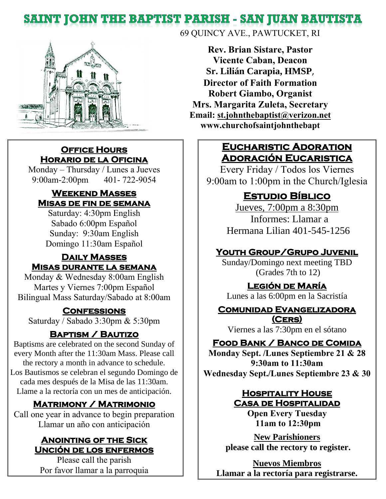# **SAINT JOHN THE BAPTIST PARISH - SAN JUAN BAUTISTA**



## **Office Hours Horario de la Oficina**

Monday – Thursday / Lunes a Jueves 9:00am-2:00pm 401- 722-9054

## **Weekend Masses Misas de fin de semana**

Saturday: 4:30pm English Sabado 6:00pm Español Sunday: 9:30am English Domingo 11:30am Español

## **Daily Masses Misas durante la semana**

Monday & Wednesday 8:00am English Martes y Viernes 7:00pm Español Bilingual Mass Saturday/Sabado at 8:00am

## **Confessions**

Saturday / Sabado 3:30pm & 5:30pm

## **Baptism / Bautizo**

Baptisms are celebrated on the second Sunday of every Month after the 11:30am Mass. Please call the rectory a month in advance to schedule. Los Bautismos se celebran el segundo Domingo de cada mes después de la Misa de las 11:30am. Llame a la rectoría con un mes de anticipación.

## **Matrimony / Matrimonio**

Call one year in advance to begin preparation Llamar un año con anticipación

### **Anointing of the Sick Unción de los enfermos**

Please call the parish Por favor llamar a la parroquia 69 QUINCY AVE., PAWTUCKET, RI

**Rev. Brian Sistare, Pastor Vicente Caban, Deacon Sr. Lilián Carapia, HMSP**, **Director of Faith Formation Robert Giambo, Organist Mrs. Margarita Zuleta, Secretary Email: [st.johnthebaptist@verizon.net](mailto:st.johnthebaptist@verizon.net) www.churchofsaintjohnthebapt**

## **Eucharistic Adoration Adoración Eucaristica**

Every Friday / Todos los Viernes 9:00am to 1:00pm in the Church/Iglesia

# **Estudio Bíblico**

Jueves, 7:00pm a 8:30pm Informes: Llamar a Hermana Lilian 401-545-1256

## **Youth Group/Grupo Juvenil**

Sunday/Domingo next meeting TBD (Grades 7th to 12)

## **Legión de María**

Lunes a las 6:00pm en la Sacristía

#### **Comunidad Evangelizadora (Cers)**

Viernes a las 7:30pm en el sótano

## **Food Bank / Banco de Comida**

**Monday Sept. /Lunes Septiembre 21 & 28 9:30am to 11:30am Wednesday Sept./Lunes Septiembre 23 & 30**

## **Hospitality House Casa de Hospitalidad**

**Open Every Tuesday 11am to 12:30pm**

**New Parishioners please call the rectory to register.** 

**Nuevos Miembros Llamar a la rectoría para registrarse.**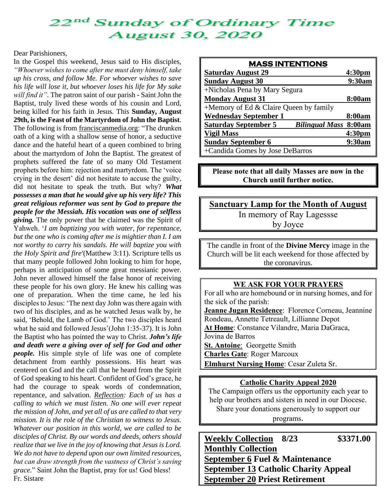## 2<sup>nd</sup> Sunday of Ordinary Time **August 30, 2020**

#### Dear Parishioners,

In the Gospel this weekend, Jesus said to His disciples, *"Whoever wishes to come after me must deny himself, take up his cross, and follow Me. For whoever wishes to save his life will lose it, but whoever loses his life for My sake will find it"*. The patron saint of our parish - Saint John the Baptist, truly lived these words of his cousin and Lord, being killed for his faith in Jesus. This **Sunday, August 29th, is the Feast of the Martyrdom of John the Baptist**. The following is from [franciscanmedia.org:](http://franciscanmedia.org/) "The drunken oath of a king with a shallow sense of honor, a seductive dance and the hateful heart of a queen combined to bring about the martyrdom of John the Baptist. The greatest of prophets suffered the fate of so many Old Testament prophets before him: rejection and martyrdom. The 'voice crying in the desert' did not hesitate to accuse the guilty, did not hesitate to speak the truth. But why? *What possesses a man that he would give up his very life? This great religious reformer was sent by God to prepare the people for the Messiah. His vocation was one of selfless giving.* The only power that he claimed was the Spirit of Yahweh. '*I am baptizing you with water, for repentance, but the one who is coming after me is mightier than I. I am not worthy to carry his sandals. He will baptize you with the Holy Spirit and fire'*(Matthew 3:11). Scripture tells us that many people followed John looking to him for hope, perhaps in anticipation of some great messianic power. John never allowed himself the false honor of receiving these people for his own glory. He knew his calling was one of preparation. When the time came, he led his disciples to Jesus: 'The next day John was there again with two of his disciples, and as he watched Jesus walk by, he said, 'Behold, the Lamb of God.' The two disciples heard what he said and followed Jesus'(John 1:35-37). It is John the Baptist who has pointed the way to Christ. *John's life and death were a giving over of self for God and other people.* His simple style of life was one of complete detachment from earthly possessions. His heart was centered on God and the call that he heard from the Spirit of God speaking to his heart. Confident of God's grace, he had the courage to speak words of condemnation, repentance, and salvation. *Reflection: Each of us has a calling to which we must listen. No one will ever repeat the mission of John, and yet all of us are called to that very mission. It is the role of the Christian to witness to Jesus. Whatever our position in this world, we are called to be disciples of Christ. By our words and deeds, others should realize that we live in the joy of knowing that Jesus is Lord. We do not have to depend upon our own limited resources, but can draw strength from the vastness of Christ's saving grace.*" Saint John the Baptist, pray for us! God bless! Fr. Sistare

| <b>MASS INTENTIONS</b>                                      |                    |
|-------------------------------------------------------------|--------------------|
| <b>Saturday August 29</b>                                   | 4:30 <sub>pm</sub> |
| <b>Sunday August 30</b>                                     | 9:30am             |
| +Nicholas Pena by Mary Segura                               |                    |
| <b>Monday August 31</b>                                     | 8:00am             |
| +Memory of Ed $&$ Claire Queen by family                    |                    |
| <b>Wednesday September 1</b>                                | 8:00am             |
| <b>Saturday September 5</b><br><b>Bilingual Mass 8:00am</b> |                    |
| <b>Vigil Mass</b>                                           | 4:30 <sub>pm</sub> |
| <b>Sunday September 6</b>                                   | 9:30am             |
| +Candida Gomes by Jose DeBarros                             |                    |

**Please note that all daily Masses are now in the Church until further notice.**

**Sanctuary Lamp for the Month of August** In memory of Ray Lagessse by Joyce

The candle in front of the **Divine Mercy** image in the Church will be lit each weekend for those affected by the coronavirus.

#### **WE ASK FOR YOUR PRAYERS**

For all who are homebound or in nursing homes, and for the sick of the parish: **Jeanne Jugan Residence**: Florence Corneau, Jeannine Rondeau, Annette Tetreault, Lillianne Depot **At Home**: Constance Vilandre, Maria DaGraca, Jovina de Barros **St. Antoine**: Georgette Smith **Charles Gate**: Roger Marcoux **Elmhurst Nursing Home**: Cesar Zuleta Sr.

#### **Catholic Charity Appeal 2020**

The Campaign offers us the opportunity each year to help our brothers and sisters in need in our Diocese. Share your donations generously to support our

programs.

**Weekly Collection 8/23 \$3371.00 Monthly Collection September 6 Fuel & Maintenance September 13 Catholic Charity Appeal September 20 Priest Retirement**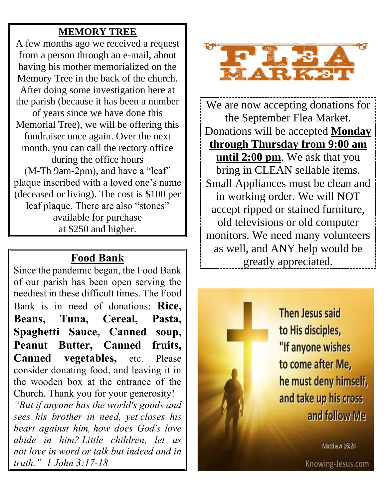# **MEMORY TREE**

A few months ago we received a request from a person through an e-mail, about having his mother memorialized on the Memory Tree in the back of the church. After doing some investigation here at the parish (because it has been a number of years since we have done this Memorial Tree), we will be offering this fundraiser once again. Over the next month, you can call the rectory office during the office hours (M-Th 9am-2pm), and have a "leaf" plaque inscribed with a loved one's name (deceased or living). The cost is \$100 per leaf plaque. There are also "stones" available for purchase at \$250 and higher.

# **Food Bank**

Since the pandemic began, the Food Bank of our parish has been open serving the neediest in these difficult times. The Food Bank is in need of donations: **Rice, Beans, Tuna, Cereal, Pasta, Spaghetti Sauce, Canned soup, Peanut Butter, Canned fruits, Canned vegetables,** etc. Please consider donating food, and leaving it in the wooden box at the entrance of the Church. Thank you for your generosity!

*"But if anyone has the world's goods and sees his brother in need, yet closes his heart against him, how does God's love abide in him? Little children, let us not love in word or talk but indeed and in truth." 1 John 3:17-18*



We are now accepting donations for the September Flea Market. Donations will be accepted **Monday through Thursday from 9:00 am until 2:00 pm**. We ask that you bring in CLEAN sellable items. Small Appliances must be clean and in working order. We will NOT accept ripped or stained furniture, old televisions or old computer monitors. We need many volunteers as well, and ANY help would be greatly appreciated.

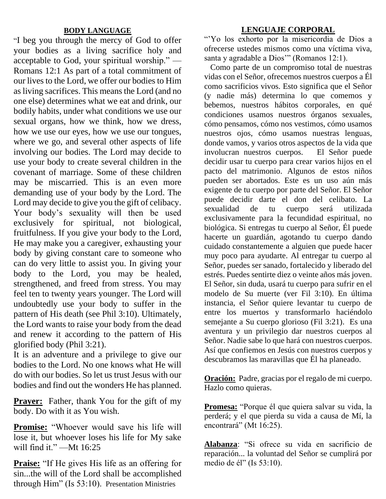#### **BODY LANGUAGE**

"I beg you through the mercy of God to offer your bodies as a living sacrifice holy and acceptable to God, your spiritual worship." — Romans 12:1 As part of a total commitment of our lives to the Lord, we offer our bodies to Him as living sacrifices. This means the Lord (and no one else) determines what we eat and drink, our bodily habits, under what conditions we use our sexual organs, how we think, how we dress, how we use our eyes, how we use our tongues, where we go, and several other aspects of life involving our bodies. The Lord may decide to use your body to create several children in the covenant of marriage. Some of these children may be miscarried. This is an even more demanding use of your body by the Lord. The Lord may decide to give you the gift of celibacy. Your body's sexuality will then be used exclusively for spiritual, not biological, fruitfulness. If you give your body to the Lord, He may make you a caregiver, exhausting your body by giving constant care to someone who can do very little to assist you. In giving your body to the Lord, you may be healed, strengthened, and freed from stress. You may feel ten to twenty years younger. The Lord will undoubtedly use your body to suffer in the pattern of His death (see Phil 3:10). Ultimately, the Lord wants to raise your body from the dead and renew it according to the pattern of His glorified body (Phil 3:21).

It is an adventure and a privilege to give our bodies to the Lord. No one knows what He will do with our bodies. So let us trust Jesus with our bodies and find out the wonders He has planned.

**Prayer:** Father, thank You for the gift of my body. Do with it as You wish.

**Promise:** "Whoever would save his life will lose it, but whoever loses his life for My sake will find it." —Mt 16:25

**Praise:** "If He gives His life as an offering for sin...the will of the Lord shall be accomplished through Him" (Is 53:10). Presentation Ministries

#### **LENGUAJE CORPORAL**

"'Yo los exhorto por la misericordia de Dios a ofrecerse ustedes mismos como una víctima viva, santa y agradable a Dios'" (Romanos 12:1).

 Como parte de un compromiso total de nuestras vidas con el Señor, ofrecemos nuestros cuerpos a Él como sacrificios vivos. Esto significa que el Señor (y nadie más) determina lo que comemos y bebemos, nuestros hábitos corporales, en qué condiciones usamos nuestros órganos sexuales, cómo pensamos, cómo nos vestimos, cómo usamos nuestros ojos, cómo usamos nuestras lenguas, donde vamos, y varios otros aspectos de la vida que involucran nuestros cuerpos. El Señor puede decidir usar tu cuerpo para crear varios hijos en el pacto del matrimonio. Algunos de estos niños pueden ser abortados. Este es un uso aún más exigente de tu cuerpo por parte del Señor. El Señor puede decidir darte el don del celibato. La sexualidad de tu cuerpo será utilizada exclusivamente para la fecundidad espiritual, no biológica. Si entregas tu cuerpo al Señor, Él puede hacerte un guardián, agotando tu cuerpo dando cuidado constantemente a alguien que puede hacer muy poco para ayudarte. Al entregar tu cuerpo al Señor, puedes ser sanado, fortalecido y liberado del estrés. Puedes sentirte diez o veinte años más joven. El Señor, sin duda, usará tu cuerpo para sufrir en el modelo de Su muerte (ver Fil 3:10). En última instancia, el Señor quiere levantar tu cuerpo de entre los muertos y transformarlo haciéndolo semejante a Su cuerpo glorioso (Fil 3:21). Es una aventura y un privilegio dar nuestros cuerpos al Señor. Nadie sabe lo que hará con nuestros cuerpos. Así que confiemos en Jesús con nuestros cuerpos y descubramos las maravillas que Él ha planeado.

**Oración:** Padre, gracias por el regalo de mi cuerpo. Hazlo como quieras.

**Promesa:** "Porque él que quiera salvar su vida, la perderá; y el que pierda su vida a causa de Mí, la encontrará" (Mt 16:25).

**Alabanza**: "Si ofrece su vida en sacrificio de reparación... la voluntad del Señor se cumplirá por medio de él" (Is 53:10).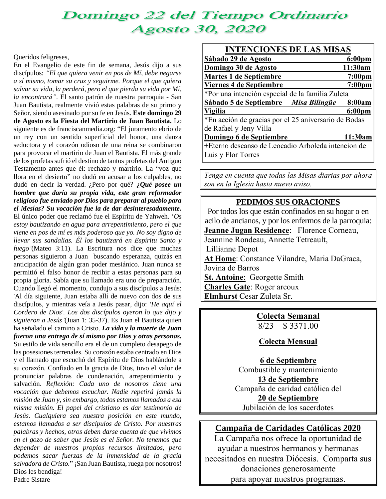# Domingo 22 del Tiempo Ordinario **Agosto 30, 2020**

#### Queridos feligreses,

En el Evangelio de este fin de semana, Jesús dijo a sus discípulos: *"El que quiera venir en pos de Mí, debe negarse a sí mismo, tomar su cruz y seguirme. Porque el que quiera salvar su vida, la perderá, pero el que pierda su vida por Mí, la encontrará"*. El santo patrón de nuestra parroquia - San Juan Bautista, realmente vivió estas palabras de su primo y Señor, siendo asesinado por su fe en Jesús. **Este domingo 29 de Agosto es la Fiesta del Martirio de Juan Bautista.** Lo siguiente es de [franciscanmedia.org:](http://franciscanmedia.org/) "El juramento ebrio de un rey con un sentido superficial del honor, una danza seductora y el corazón odioso de una reina se combinaron para provocar el martirio de Juan el Bautista. El más grande de los profetas sufrió el destino de tantos profetas del Antiguo Testamento antes que él: rechazo y martirio. La "voz que llora en el desierto" no dudó en acusar a los culpables, no dudó en decir la verdad. ¿Pero por qué? *¿Qué posee un hombre que daría su propia vida, este gran reformador religioso fue enviado por Dios para preparar al pueblo para el Mesías? Su vocación fue la de dar desinteresadamente.* El único poder que reclamó fue el Espíritu de Yahweh. '*Os estoy bautizando en agua para arrepentimiento, pero el que viene en pos de mí es más poderoso que yo. No soy digno de llevar sus sandalias. Él los bautizará en Espíritu Santo y fuego'*(Mateo 3:11). La Escritura nos dice que muchas personas siguieron a Juan buscando esperanza, quizás en anticipación de algún gran poder mesiánico. Juan nunca se permitió el falso honor de recibir a estas personas para su propia gloria. Sabía que su llamado era uno de preparación. Cuando llegó el momento, condujo a sus discípulos a Jesús: 'Al día siguiente, Juan estaba allí de nuevo con dos de sus discípulos, y mientras veía a Jesús pasar, dijo: *'He aquí el Cordero de Dios'. Los dos discípulos oyeron lo que dijo y siguieron a Jesús'*(Juan 1: 35-37). Es Juan el Bautista quien ha señalado el camino a Cristo. *La vida y la muerte de Juan fueron una entrega de sí mismo por Dios y otras personas.* Su estilo de vida sencillo era el de un completo desapego de las posesiones terrenales. Su corazón estaba centrado en Dios y el llamado que escuchó del Espíritu de Dios hablándole a su corazón. Confiado en la gracia de Dios, tuvo el valor de pronunciar palabras de condenación, arrepentimiento y salvación. *Reflexión: Cada uno de nosotros tiene una vocación que debemos escuchar. Nadie repetirá jamás la misión de Juan y, sin embargo, todos estamos llamados a esa misma misión. El papel del cristiano es dar testimonio de Jesús. Cualquiera sea nuestra posición en este mundo, estamos llamados a ser discípulos de Cristo. Por nuestras palabras y hechos, otros deben darse cuenta de que vivimos en el gozo de saber que Jesús es el Señor. No tenemos que depender de nuestros propios recursos limitados, pero podemos sacar fuerzas de la inmensidad de la gracia salvadora de Cristo.*" ¡San Juan Bautista, ruega por nosotros! Dios les bendiga! Padre Sistare

| <b>INTENCIONES DE LAS MISAS</b>                      |                    |
|------------------------------------------------------|--------------------|
| Sábado 29 de Agosto                                  | 6:00 <sub>pm</sub> |
| Domingo 30 de Agosto                                 | 11:30am            |
| <b>Martes 1 de Septiembre</b>                        | 7:00 <sub>pm</sub> |
| Viernes 4 de Septiembre                              | 7:00 <sub>pm</sub> |
| *Por una intención especial de la familia Zuleta     |                    |
| Sábado 5 de Septiembre Misa Bilingüe                 | 8:00am             |
| Vigilia                                              | 6:00 <sub>pm</sub> |
| *En acción de gracias por el 25 aniversario de Bodas |                    |
| de Rafael y Jeny Villa                               |                    |
| Domingo 6 de Septiembre                              | 11:30am            |
| +Eterno descanso de Leocadio Arboleda intencion de   |                    |
| Luis y Flor Torres                                   |                    |

*Tenga en cuenta que todas las Misas diarias por ahora son en la Iglesia hasta nuevo aviso.*

#### **PEDIMOS SUS ORACIONES**

Por todos los que están confinados en su hogar o en acilo de ancianos, y por los enfermos de la parroquia: **Jeanne Jugan Residence**: Florence Corneau, Jeannine Rondeau, Annette Tetreault, Lillianne Depot **At Home**: Constance Vilandre, Maria DaGraca, Jovina de Barros **St. Antoine**: Georgette Smith **Charles Gate**: Roger arcoux **Elmhurst** Cesar Zuleta Sr.

> **Colecta Semanal** 8/23 \$ 3371.00

**Colecta Mensual**

**6 de Septiembre** Combustible y mantenimiento **13 de Septiembre** Campaña de caridad católica del **20 de Septiembre** Jubilación de los sacerdotes

#### **Campaña de Caridades Católicas 2020**

La Campaña nos ofrece la oportunidad de ayudar a nuestros hermanos y hermanas necesitados en nuestra Diócesis. Comparta sus donaciones generosamente para apoyar nuestros programas.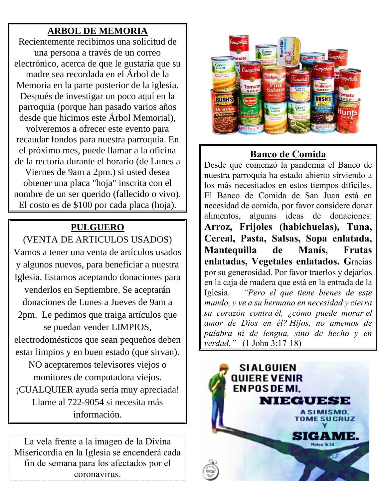## **ARBOL DE MEMORIA**

Recientemente recibimos una solicitud de una persona a través de un correo electrónico, acerca de que le gustaría que su madre sea recordada en el Árbol de la Memoria en la parte posterior de la iglesia. Después de investigar un poco aquí en la parroquia (porque han pasado varios años desde que hicimos este Árbol Memorial),

volveremos a ofrecer este evento para recaudar fondos para nuestra parroquia. En el próximo mes, puede llamar a la oficina de la rectoría durante el horario (de Lunes a

Viernes de 9am a 2pm.) si usted desea obtener una placa "hoja" inscrita con el nombre de un ser querido (fallecido o vivo). El costo es de \$100 por cada placa (hoja).

## **PULGUERO**

(VENTA DE ARTICULOS USADOS) Vamos a tener una venta de artículos usados y algunos nuevos, para beneficiar a nuestra Iglesia. Estamos aceptando donaciones para venderlos en Septiembre. Se aceptarán donaciones de Lunes a Jueves de 9am a 2pm. Le pedimos que traiga artículos que se puedan vender LIMPIOS, electrodomésticos que sean pequeños deben estar limpios y en buen estado (que sirvan). NO aceptaremos televisores viejos o monitores de computadora viejos. ¡CUALQUIER ayuda sería muy apreciada! Llame al 722-9054 si necesita más

información.

La vela frente a la imagen de la Divina Misericordia en la Iglesia se encenderá cada fin de semana para los afectados por el coronavirus.



# **Banco de Comida**

Desde que comenzó la pandemia el Banco de nuestra parroquia ha estado abierto sirviendo a los más necesitados en estos tiempos difíciles. El Banco de Comida de San Juan está en necesidad de comida, por favor considere donar alimentos, algunas ideas de donaciones: **Arroz, Frijoles (habichuelas), Tuna, Cereal, Pasta, Salsas, Sopa enlatada, Mantequilla de Manís, Frutas enlatadas, Vegetales enlatados. G**racias por su generosidad. Por favor traerlos y dejarlos en la caja de madera que está en la entrada de la Iglesia. *"Pero el que tiene bienes de este mundo, y ve a su hermano en necesidad y cierra su corazón contra él, ¿cómo puede morar el amor de Dios en él? Hijos, no amemos de palabra ni de lengua, sino de hecho y en verdad."* (1 John 3:17-18)